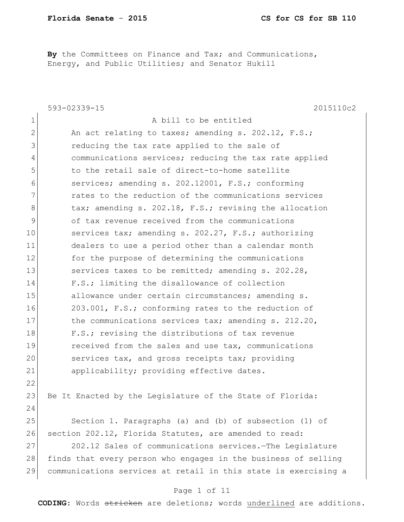**By** the Committees on Finance and Tax; and Communications, Energy, and Public Utilities; and Senator Hukill

|                | 593-02339-15<br>2015110c2                                       |
|----------------|-----------------------------------------------------------------|
| $\mathbf 1$    | A bill to be entitled                                           |
| $\mathbf{2}$   | An act relating to taxes; amending s. 202.12, F.S.;             |
| 3              | reducing the tax rate applied to the sale of                    |
| $\overline{4}$ | communications services; reducing the tax rate applied          |
| 5              | to the retail sale of direct-to-home satellite                  |
| 6              | services; amending s. 202.12001, F.S.; conforming               |
| 7              | rates to the reduction of the communications services           |
| 8              | tax; amending s. 202.18, F.S.; revising the allocation          |
| 9              | of tax revenue received from the communications                 |
| 10             | services tax; amending s. 202.27, F.S.; authorizing             |
| 11             | dealers to use a period other than a calendar month             |
| 12             | for the purpose of determining the communications               |
| 13             | services taxes to be remitted; amending s. 202.28,              |
| 14             | F.S.; limiting the disallowance of collection                   |
| 15             | allowance under certain circumstances; amending s.              |
| 16             | 203.001, F.S.; conforming rates to the reduction of             |
| 17             | the communications services tax; amending s. 212.20,            |
| 18             | F.S.; revising the distributions of tax revenue                 |
| 19             | received from the sales and use tax, communications             |
| 20             | services tax, and gross receipts tax; providing                 |
| 21             | applicability; providing effective dates.                       |
| 22             |                                                                 |
| 23             | Be It Enacted by the Legislature of the State of Florida:       |
| 24             |                                                                 |
| 25             | Section 1. Paragraphs (a) and (b) of subsection (1) of          |
| 26             | section 202.12, Florida Statutes, are amended to read:          |
| 27             | 202.12 Sales of communications services. The Legislature        |
| 28             | finds that every person who engages in the business of selling  |
| 29             | communications services at retail in this state is exercising a |
|                |                                                                 |

#### Page 1 of 11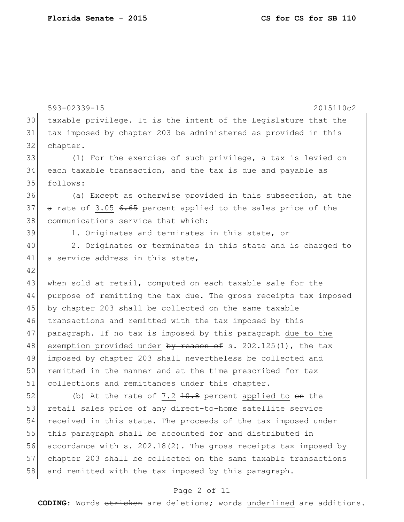593-02339-15 2015110c2 30 taxable privilege. It is the intent of the Legislature that the 31 tax imposed by chapter 203 be administered as provided in this 32 chapter. 33 (1) For the exercise of such privilege, a tax is levied on 34 each taxable transaction<sub> $\tau$ </sub> and the tax is due and payable as 35 follows: 36 (a) Except as otherwise provided in this subsection, at the 37 a rate of 3.05 6.65 percent applied to the sales price of the 38 communications service that which: 39 1. Originates and terminates in this state, or 40 2. Originates or terminates in this state and is charged to 41 a service address in this state, 42 43 when sold at retail, computed on each taxable sale for the 44 purpose of remitting the tax due. The gross receipts tax imposed 45 by chapter 203 shall be collected on the same taxable 46 transactions and remitted with the tax imposed by this 47 paragraph. If no tax is imposed by this paragraph due to the 48 exemption provided under <del>by reason of</del> s. 202.125(1), the tax 49 imposed by chapter 203 shall nevertheless be collected and 50 remitted in the manner and at the time prescribed for tax 51 collections and remittances under this chapter. 52 (b) At the rate of 7.2  $10.8$  percent applied to  $\Theta$  the 53 retail sales price of any direct-to-home satellite service 54 received in this state. The proceeds of the tax imposed under

55 this paragraph shall be accounted for and distributed in 56 accordance with s. 202.18(2). The gross receipts tax imposed by 57 chapter 203 shall be collected on the same taxable transactions 58 and remitted with the tax imposed by this paragraph.

#### Page 2 of 11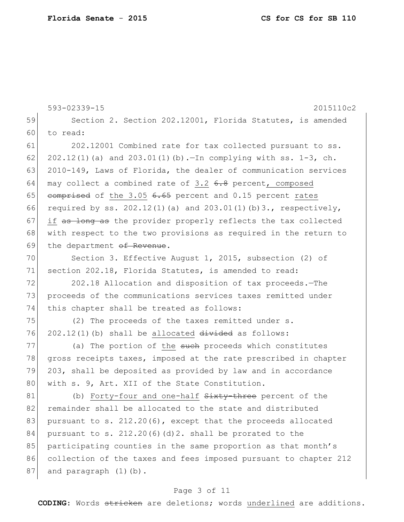|    | 593-02339-15<br>2015110c2                                             |  |  |  |
|----|-----------------------------------------------------------------------|--|--|--|
| 59 | Section 2. Section 202.12001, Florida Statutes, is amended            |  |  |  |
| 60 | to read:                                                              |  |  |  |
| 61 | 202.12001 Combined rate for tax collected pursuant to ss.             |  |  |  |
| 62 | 202.12(1)(a) and 203.01(1)(b). - In complying with ss. 1-3, ch.       |  |  |  |
| 63 | 2010-149, Laws of Florida, the dealer of communication services       |  |  |  |
| 64 | may collect a combined rate of 3.2 6.8 percent, composed              |  |  |  |
| 65 | comprised of the 3.05 6.65 percent and 0.15 percent rates             |  |  |  |
| 66 | required by ss. $202.12(1)$ (a) and $203.01(1)$ (b) 3., respectively, |  |  |  |
| 67 | if as long as the provider properly reflects the tax collected        |  |  |  |
| 68 | with respect to the two provisions as required in the return to       |  |  |  |
| 69 | the department of Revenue.                                            |  |  |  |
| 70 | Section 3. Effective August 1, 2015, subsection (2) of                |  |  |  |
| 71 | section 202.18, Florida Statutes, is amended to read:                 |  |  |  |
| 72 | 202.18 Allocation and disposition of tax proceeds. - The              |  |  |  |
| 73 | proceeds of the communications services taxes remitted under          |  |  |  |
| 74 | this chapter shall be treated as follows:                             |  |  |  |
| 75 | (2) The proceeds of the taxes remitted under s.                       |  |  |  |
| 76 | $202.12(1)$ (b) shall be allocated $divided$ as follows:              |  |  |  |
| 77 | (a) The portion of the such proceeds which constitutes                |  |  |  |
| 78 | gross receipts taxes, imposed at the rate prescribed in chapter       |  |  |  |
| 79 | 203, shall be deposited as provided by law and in accordance          |  |  |  |
| 80 | with s. 9, Art. XII of the State Constitution.                        |  |  |  |
| 81 | (b) Forty-four and one-half Sixty-three percent of the                |  |  |  |
| 82 | remainder shall be allocated to the state and distributed             |  |  |  |
| 83 | pursuant to s. 212.20(6), except that the proceeds allocated          |  |  |  |
| 84 | pursuant to s. 212.20(6)(d)2. shall be prorated to the                |  |  |  |
| 85 | participating counties in the same proportion as that month's         |  |  |  |
| 86 | collection of the taxes and fees imposed pursuant to chapter 212      |  |  |  |
| 87 | and paragraph (1)(b).                                                 |  |  |  |

# Page 3 of 11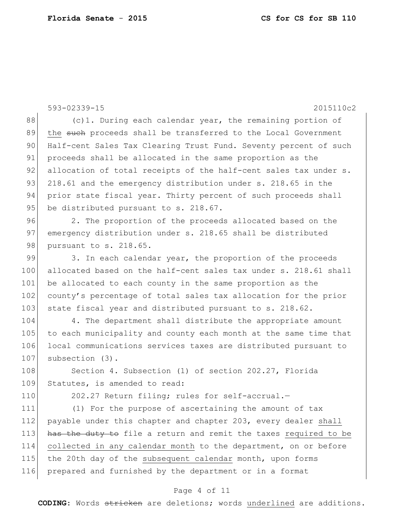593-02339-15 2015110c2 88 (c)1. During each calendar year, the remaining portion of 89 the such proceeds shall be transferred to the Local Government 90 Half-cent Sales Tax Clearing Trust Fund. Seventy percent of such 91 proceeds shall be allocated in the same proportion as the 92 allocation of total receipts of the half-cent sales tax under s. 93 218.61 and the emergency distribution under s. 218.65 in the 94 prior state fiscal year. Thirty percent of such proceeds shall 95 be distributed pursuant to s. 218.67. 96 2. The proportion of the proceeds allocated based on the 97 emergency distribution under s. 218.65 shall be distributed 98 pursuant to s. 218.65. 99 3. In each calendar year, the proportion of the proceeds 100 allocated based on the half-cent sales tax under s. 218.61 shall 101 be allocated to each county in the same proportion as the 102 county's percentage of total sales tax allocation for the prior 103 state fiscal year and distributed pursuant to s. 218.62. 104 4. The department shall distribute the appropriate amount 105 to each municipality and county each month at the same time that 106 local communications services taxes are distributed pursuant to 107 subsection (3). 108 Section 4. Subsection (1) of section 202.27, Florida 109 Statutes, is amended to read: 110 202.27 Return filing; rules for self-accrual. 111 (1) For the purpose of ascertaining the amount of tax 112 payable under this chapter and chapter 203, every dealer shall 113 has the duty to file a return and remit the taxes required to be 114 collected in any calendar month to the department, on or before 115 the 20th day of the subsequent calendar month, upon forms 116 prepared and furnished by the department or in a format

#### Page 4 of 11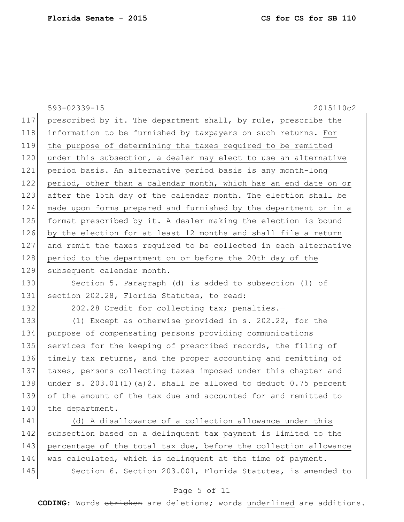|     | 593-02339-15<br>2015110c2                                          |
|-----|--------------------------------------------------------------------|
| 117 | prescribed by it. The department shall, by rule, prescribe the     |
| 118 | information to be furnished by taxpayers on such returns. For      |
| 119 | the purpose of determining the taxes required to be remitted       |
| 120 | under this subsection, a dealer may elect to use an alternative    |
| 121 | period basis. An alternative period basis is any month-long        |
| 122 | period, other than a calendar month, which has an end date on or   |
| 123 | after the 15th day of the calendar month. The election shall be    |
| 124 | made upon forms prepared and furnished by the department or in a   |
| 125 | format prescribed by it. A dealer making the election is bound     |
| 126 | by the election for at least 12 months and shall file a return     |
| 127 | and remit the taxes required to be collected in each alternative   |
| 128 | period to the department on or before the 20th day of the          |
| 129 | subsequent calendar month.                                         |
| 130 | Section 5. Paragraph (d) is added to subsection (1) of             |
| 131 | section 202.28, Florida Statutes, to read:                         |
| 132 | 202.28 Credit for collecting tax; penalties.-                      |
| 133 | (1) Except as otherwise provided in s. 202.22, for the             |
| 134 | purpose of compensating persons providing communications           |
| 135 | services for the keeping of prescribed records, the filing of      |
| 136 | timely tax returns, and the proper accounting and remitting of     |
| 137 | taxes, persons collecting taxes imposed under this chapter and     |
| 138 | under s. $203.01(1)(a)2$ . shall be allowed to deduct 0.75 percent |
| 139 | of the amount of the tax due and accounted for and remitted to     |
| 140 | the department.                                                    |
| 141 | (d) A disallowance of a collection allowance under this            |
| 142 | subsection based on a delinquent tax payment is limited to the     |
| 143 | percentage of the total tax due, before the collection allowance   |
| 144 | was calculated, which is delinquent at the time of payment.        |
| 145 | Section 6. Section 203.001, Florida Statutes, is amended to        |

# Page 5 of 11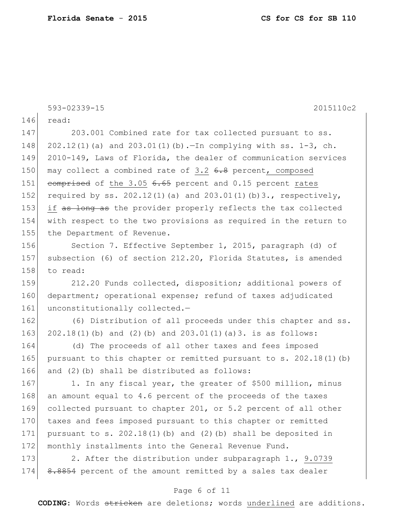593-02339-15 2015110c2 146 read: 147 203.001 Combined rate for tax collected pursuant to ss. 148 202.12(1)(a) and 203.01(1)(b).—In complying with ss. 1-3, ch. 149 2010-149, Laws of Florida, the dealer of communication services 150 may collect a combined rate of  $3.2$  6.8 percent, composed 151 comprised of the 3.05 6.65 percent and 0.15 percent rates 152 required by ss. 202.12(1)(a) and 203.01(1)(b)3., respectively, 153 if as long as the provider properly reflects the tax collected 154 with respect to the two provisions as required in the return to 155 the Department of Revenue. 156 Section 7. Effective September 1, 2015, paragraph (d) of 157 subsection (6) of section 212.20, Florida Statutes, is amended 158 to read: 159 212.20 Funds collected, disposition; additional powers of 160 department; operational expense; refund of taxes adjudicated 161 unconstitutionally collected.-162 (6) Distribution of all proceeds under this chapter and ss. 163 202.18(1)(b) and (2)(b) and 203.01(1)(a)3. is as follows: 164 (d) The proceeds of all other taxes and fees imposed 165 pursuant to this chapter or remitted pursuant to s. 202.18(1)(b) 166 and (2)(b) shall be distributed as follows: 167 1. In any fiscal year, the greater of \$500 million, minus 168 an amount equal to 4.6 percent of the proceeds of the taxes 169 collected pursuant to chapter 201, or 5.2 percent of all other 170 taxes and fees imposed pursuant to this chapter or remitted 171 pursuant to s.  $202.18(1)$  (b) and (2)(b) shall be deposited in 172 monthly installments into the General Revenue Fund. 173 2. After the distribution under subparagraph 1., 9.0739 174 8.8854 percent of the amount remitted by a sales tax dealer

## Page 6 of 11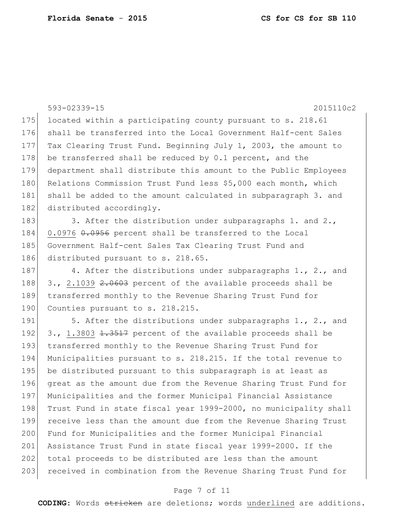593-02339-15 2015110c2 175 located within a participating county pursuant to s. 218.61 176 shall be transferred into the Local Government Half-cent Sales 177 Tax Clearing Trust Fund. Beginning July 1, 2003, the amount to 178 be transferred shall be reduced by  $0.1$  percent, and the 179 department shall distribute this amount to the Public Employees 180 Relations Commission Trust Fund less \$5,000 each month, which 181 shall be added to the amount calculated in subparagraph 3. and 182 distributed accordingly. 183 3. After the distribution under subparagraphs 1. and 2., 184 0.0976 0.0956 percent shall be transferred to the Local 185 Government Half-cent Sales Tax Clearing Trust Fund and 186 distributed pursuant to s. 218.65. 187 4. After the distributions under subparagraphs 1., 2., and 188 3., 2.1039  $2.0603$  percent of the available proceeds shall be 189 transferred monthly to the Revenue Sharing Trust Fund for 190 Counties pursuant to s. 218.215. 191  $\vert$  5. After the distributions under subparagraphs 1., 2., and 192  $\mid$  3., 1.3803 <del>1.3517</del> percent of the available proceeds shall be 193 transferred monthly to the Revenue Sharing Trust Fund for 194 Municipalities pursuant to s. 218.215. If the total revenue to 195 be distributed pursuant to this subparagraph is at least as 196 great as the amount due from the Revenue Sharing Trust Fund for 197 Municipalities and the former Municipal Financial Assistance 198 Trust Fund in state fiscal year 1999-2000, no municipality shall 199 receive less than the amount due from the Revenue Sharing Trust 200 Fund for Municipalities and the former Municipal Financial 201 Assistance Trust Fund in state fiscal year 1999-2000. If the 202 total proceeds to be distributed are less than the amount 203 received in combination from the Revenue Sharing Trust Fund for

## Page 7 of 11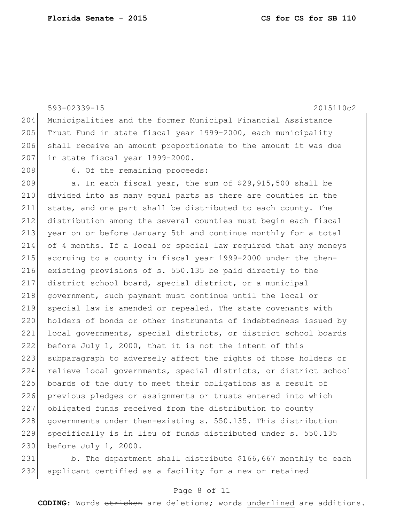593-02339-15 2015110c2 204 Municipalities and the former Municipal Financial Assistance 205 Trust Fund in state fiscal year 1999-2000, each municipality 206 shall receive an amount proportionate to the amount it was due 207 in state fiscal year 1999-2000. 208 6. Of the remaining proceeds: 209  $\vert$  a. In each fiscal year, the sum of \$29,915,500 shall be 210 divided into as many equal parts as there are counties in the 211 state, and one part shall be distributed to each county. The 212 distribution among the several counties must begin each fiscal 213 year on or before January 5th and continue monthly for a total 214 of 4 months. If a local or special law required that any moneys 215 accruing to a county in fiscal year 1999-2000 under the then-216 existing provisions of s. 550.135 be paid directly to the 217 district school board, special district, or a municipal 218 government, such payment must continue until the local or 219 special law is amended or repealed. The state covenants with 220 holders of bonds or other instruments of indebtedness issued by 221 local governments, special districts, or district school boards 222 before July 1, 2000, that it is not the intent of this 223 subparagraph to adversely affect the rights of those holders or 224 relieve local governments, special districts, or district school 225 boards of the duty to meet their obligations as a result of 226 previous pledges or assignments or trusts entered into which 227 obligated funds received from the distribution to county 228 governments under then-existing s. 550.135. This distribution 229 specifically is in lieu of funds distributed under s. 550.135 230 before July 1, 2000.

231 b. The department shall distribute \$166,667 monthly to each 232 applicant certified as a facility for a new or retained

#### Page 8 of 11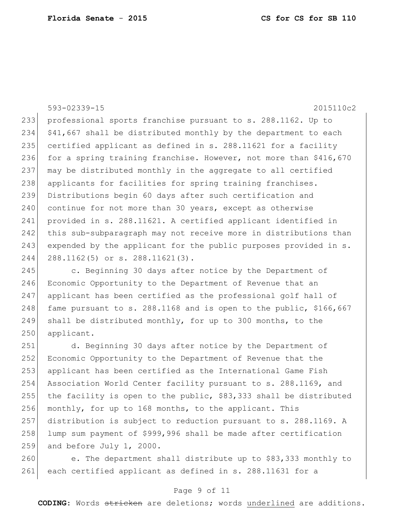593-02339-15 2015110c2 233 professional sports franchise pursuant to s. 288.1162. Up to 234 \$41,667 shall be distributed monthly by the department to each 235 certified applicant as defined in s. 288.11621 for a facility 236 for a spring training franchise. However, not more than \$416,670 237 may be distributed monthly in the aggregate to all certified 238 applicants for facilities for spring training franchises. 239 Distributions begin 60 days after such certification and 240 continue for not more than 30 years, except as otherwise 241 provided in s. 288.11621. A certified applicant identified in 242 this sub-subparagraph may not receive more in distributions than 243 expended by the applicant for the public purposes provided in s. 244 288.1162(5) or s. 288.11621(3).

245 c. Beginning 30 days after notice by the Department of 246 Economic Opportunity to the Department of Revenue that an 247 applicant has been certified as the professional golf hall of 248 fame pursuant to s. 288.1168 and is open to the public, \$166,667 249 shall be distributed monthly, for up to 300 months, to the 250 applicant.

 d. Beginning 30 days after notice by the Department of Economic Opportunity to the Department of Revenue that the applicant has been certified as the International Game Fish 254 Association World Center facility pursuant to s. 288.1169, and 255 the facility is open to the public,  $$83,333$  shall be distributed monthly, for up to 168 months, to the applicant. This distribution is subject to reduction pursuant to s. 288.1169. A lump sum payment of \$999,996 shall be made after certification and before July 1, 2000.

260 e. The department shall distribute up to \$83,333 monthly to 261 each certified applicant as defined in s. 288.11631 for a

### Page 9 of 11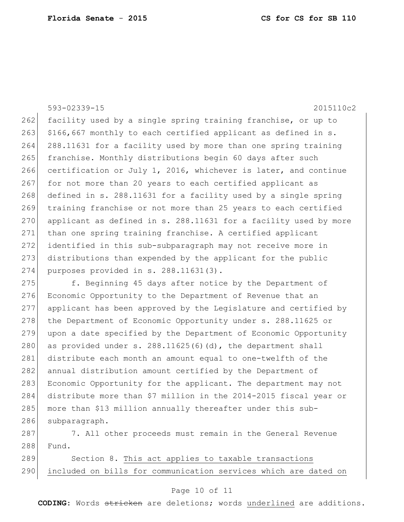593-02339-15 2015110c2

262 facility used by a single spring training franchise, or up to 263  $\mid$  \$166,667 monthly to each certified applicant as defined in s. 264 288.11631 for a facility used by more than one spring training 265 franchise. Monthly distributions begin 60 days after such 266 certification or July 1, 2016, whichever is later, and continue 267 for not more than 20 years to each certified applicant as 268 defined in s. 288.11631 for a facility used by a single spring 269 training franchise or not more than 25 years to each certified 270 applicant as defined in s. 288.11631 for a facility used by more 271 than one spring training franchise. A certified applicant 272 identified in this sub-subparagraph may not receive more in 273 distributions than expended by the applicant for the public 274 purposes provided in s. 288.11631(3).

275 f. Beginning 45 days after notice by the Department of 276 Economic Opportunity to the Department of Revenue that an 277 applicant has been approved by the Legislature and certified by 278 the Department of Economic Opportunity under s. 288.11625 or 279 upon a date specified by the Department of Economic Opportunity 280 as provided under s.  $288.11625(6)$  (d), the department shall 281 distribute each month an amount equal to one-twelfth of the 282 annual distribution amount certified by the Department of 283 Economic Opportunity for the applicant. The department may not 284 distribute more than \$7 million in the 2014-2015 fiscal year or 285 more than \$13 million annually thereafter under this sub-286 subparagraph.

287 7. All other proceeds must remain in the General Revenue 288 Fund.

289 Section 8. This act applies to taxable transactions 290 included on bills for communication services which are dated on

### Page 10 of 11